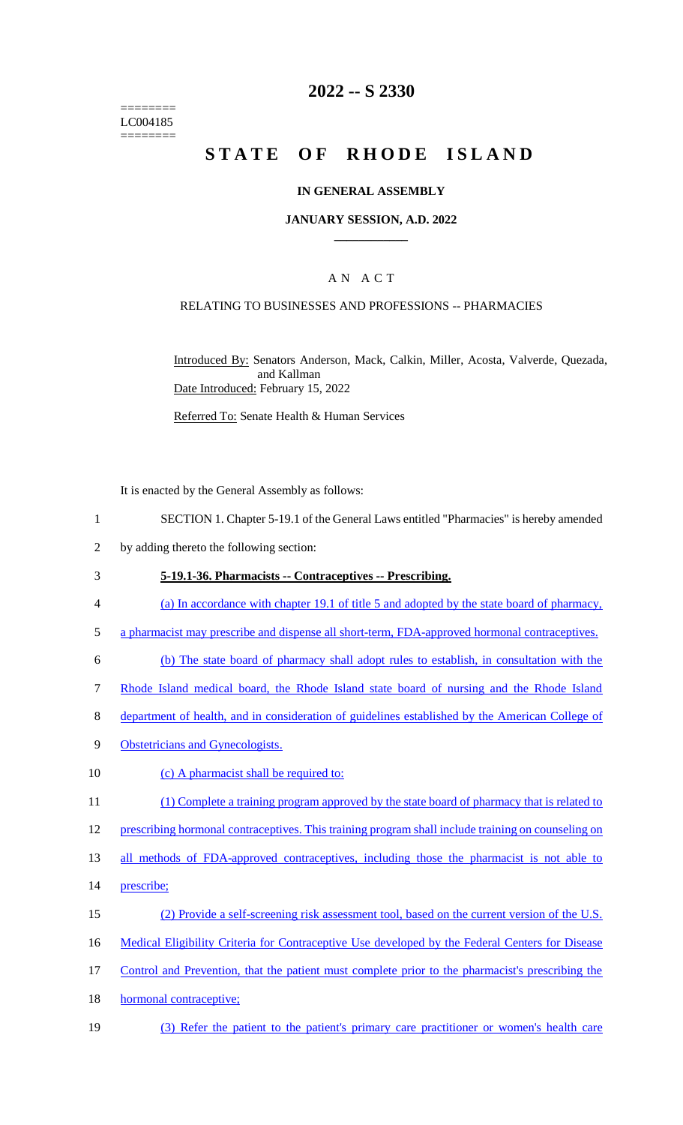======== LC004185 ========

## **2022 -- S 2330**

# **STATE OF RHODE ISLAND**

### **IN GENERAL ASSEMBLY**

### **JANUARY SESSION, A.D. 2022 \_\_\_\_\_\_\_\_\_\_\_\_**

## A N A C T

### RELATING TO BUSINESSES AND PROFESSIONS -- PHARMACIES

Introduced By: Senators Anderson, Mack, Calkin, Miller, Acosta, Valverde, Quezada, and Kallman Date Introduced: February 15, 2022

Referred To: Senate Health & Human Services

It is enacted by the General Assembly as follows:

- 1 SECTION 1. Chapter 5-19.1 of the General Laws entitled "Pharmacies" is hereby amended
- 2 by adding thereto the following section:

#### 3 **5-19.1-36. Pharmacists -- Contraceptives -- Prescribing.**

- 4 (a) In accordance with chapter 19.1 of title 5 and adopted by the state board of pharmacy,
- 5 a pharmacist may prescribe and dispense all short-term, FDA-approved hormonal contraceptives.
- 6 (b) The state board of pharmacy shall adopt rules to establish, in consultation with the
- 7 Rhode Island medical board, the Rhode Island state board of nursing and the Rhode Island
- 8 department of health, and in consideration of guidelines established by the American College of
- 9 Obstetricians and Gynecologists.
- 10 (c) A pharmacist shall be required to:
- 11 (1) Complete a training program approved by the state board of pharmacy that is related to
- 12 prescribing hormonal contraceptives. This training program shall include training on counseling on
- 13 all methods of FDA-approved contraceptives, including those the pharmacist is not able to
- 14 prescribe;
- 15 (2) Provide a self-screening risk assessment tool, based on the current version of the U.S.
- 16 Medical Eligibility Criteria for Contraceptive Use developed by the Federal Centers for Disease
- 17 Control and Prevention, that the patient must complete prior to the pharmacist's prescribing the
- 18 hormonal contraceptive;
- 19 (3) Refer the patient to the patient's primary care practitioner or women's health care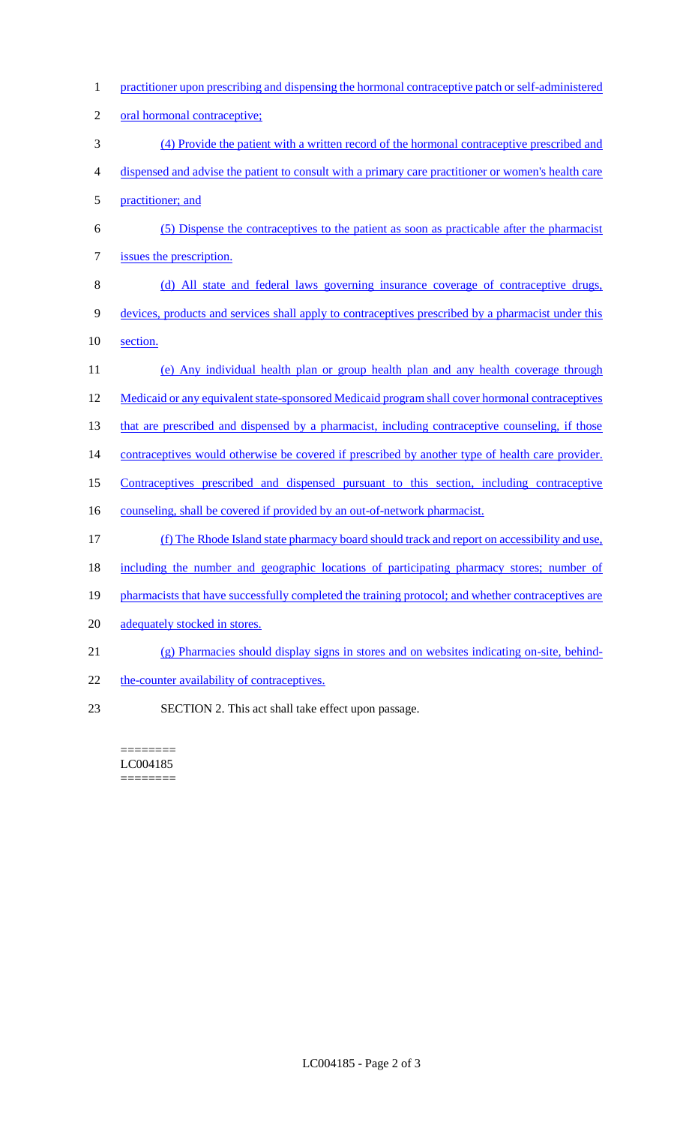- 1 practitioner upon prescribing and dispensing the hormonal contraceptive patch or self-administered 2 oral hormonal contraceptive; 3 (4) Provide the patient with a written record of the hormonal contraceptive prescribed and 4 dispensed and advise the patient to consult with a primary care practitioner or women's health care 5 practitioner; and 6 (5) Dispense the contraceptives to the patient as soon as practicable after the pharmacist 7 issues the prescription. 8 (d) All state and federal laws governing insurance coverage of contraceptive drugs, 9 devices, products and services shall apply to contraceptives prescribed by a pharmacist under this 10 section. 11 (e) Any individual health plan or group health plan and any health coverage through 12 Medicaid or any equivalent state-sponsored Medicaid program shall cover hormonal contraceptives 13 that are prescribed and dispensed by a pharmacist, including contraceptive counseling, if those 14 contraceptives would otherwise be covered if prescribed by another type of health care provider. 15 Contraceptives prescribed and dispensed pursuant to this section, including contraceptive 16 counseling, shall be covered if provided by an out-of-network pharmacist. 17 (f) The Rhode Island state pharmacy board should track and report on accessibility and use, 18 including the number and geographic locations of participating pharmacy stores; number of 19 pharmacists that have successfully completed the training protocol; and whether contraceptives are 20 adequately stocked in stores. 21 (g) Pharmacies should display signs in stores and on websites indicating on-site, behind-22 the-counter availability of contraceptives.
- 23 SECTION 2. This act shall take effect upon passage.

======== LC004185 ========